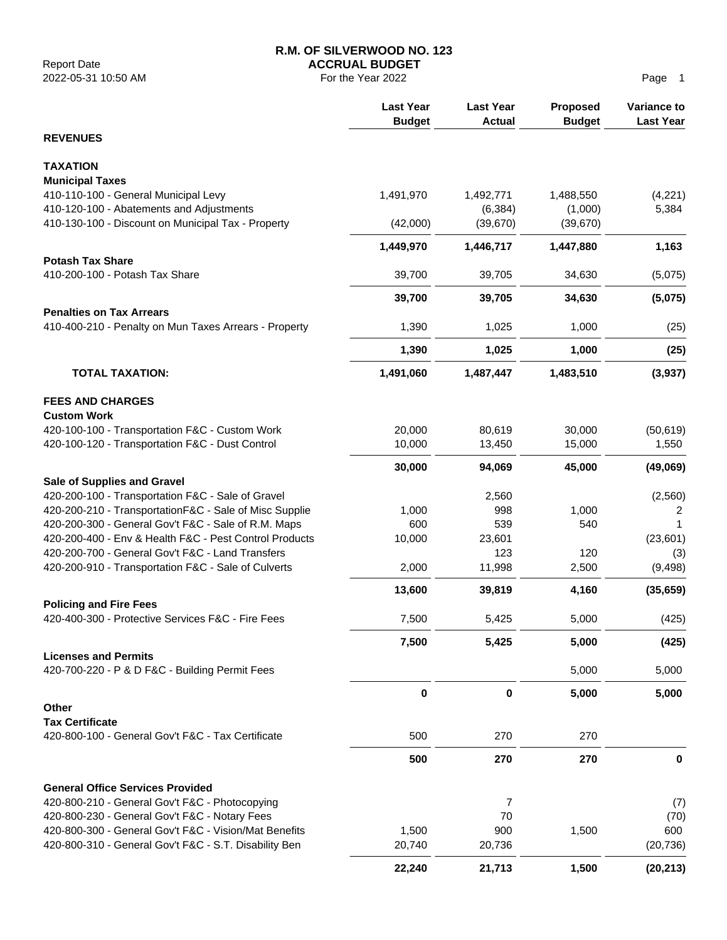|                                                                                                               | <b>Last Year</b><br><b>Budget</b> | <b>Last Year</b><br><b>Actual</b> | Proposed<br><b>Budget</b> | Variance to<br><b>Last Year</b> |
|---------------------------------------------------------------------------------------------------------------|-----------------------------------|-----------------------------------|---------------------------|---------------------------------|
| <b>REVENUES</b>                                                                                               |                                   |                                   |                           |                                 |
| <b>TAXATION</b>                                                                                               |                                   |                                   |                           |                                 |
| <b>Municipal Taxes</b>                                                                                        |                                   |                                   |                           |                                 |
| 410-110-100 - General Municipal Levy                                                                          | 1,491,970                         | 1,492,771                         | 1,488,550                 | (4,221)                         |
| 410-120-100 - Abatements and Adjustments                                                                      |                                   | (6, 384)                          | (1,000)                   | 5,384                           |
| 410-130-100 - Discount on Municipal Tax - Property                                                            | (42,000)                          | (39, 670)                         | (39, 670)                 |                                 |
|                                                                                                               | 1,449,970                         | 1,446,717                         | 1,447,880                 | 1,163                           |
| <b>Potash Tax Share</b>                                                                                       |                                   |                                   |                           |                                 |
| 410-200-100 - Potash Tax Share                                                                                | 39,700                            | 39,705                            | 34,630                    | (5,075)                         |
|                                                                                                               | 39,700                            | 39,705                            | 34,630                    | (5,075)                         |
| <b>Penalties on Tax Arrears</b>                                                                               |                                   |                                   |                           |                                 |
| 410-400-210 - Penalty on Mun Taxes Arrears - Property                                                         | 1,390                             | 1,025                             | 1,000                     | (25)                            |
|                                                                                                               | 1,390                             | 1,025                             | 1,000                     | (25)                            |
| <b>TOTAL TAXATION:</b>                                                                                        | 1,491,060                         | 1,487,447                         | 1,483,510                 | (3,937)                         |
| <b>FEES AND CHARGES</b>                                                                                       |                                   |                                   |                           |                                 |
| <b>Custom Work</b>                                                                                            |                                   |                                   |                           |                                 |
| 420-100-100 - Transportation F&C - Custom Work                                                                | 20,000                            | 80,619                            | 30,000                    | (50, 619)                       |
| 420-100-120 - Transportation F&C - Dust Control                                                               | 10,000                            | 13,450                            | 15,000                    | 1,550                           |
|                                                                                                               | 30,000                            | 94,069                            | 45,000                    | (49,069)                        |
| Sale of Supplies and Gravel                                                                                   |                                   |                                   |                           |                                 |
| 420-200-100 - Transportation F&C - Sale of Gravel                                                             |                                   | 2,560                             |                           | (2, 560)                        |
| 420-200-210 - TransportationF&C - Sale of Misc Supplie                                                        | 1,000                             | 998                               | 1,000                     | 2                               |
| 420-200-300 - General Gov't F&C - Sale of R.M. Maps<br>420-200-400 - Env & Health F&C - Pest Control Products | 600<br>10,000                     | 539<br>23,601                     | 540                       | (23,601)                        |
| 420-200-700 - General Gov't F&C - Land Transfers                                                              |                                   | 123                               | 120                       | (3)                             |
| 420-200-910 - Transportation F&C - Sale of Culverts                                                           | 2,000                             | 11,998                            | 2,500                     | (9, 498)                        |
|                                                                                                               |                                   |                                   |                           |                                 |
| <b>Policing and Fire Fees</b>                                                                                 | 13,600                            | 39,819                            | 4,160                     | (35, 659)                       |
| 420-400-300 - Protective Services F&C - Fire Fees                                                             | 7,500                             | 5,425                             | 5,000                     | (425)                           |
|                                                                                                               |                                   |                                   |                           |                                 |
| <b>Licenses and Permits</b>                                                                                   | 7,500                             | 5,425                             | 5,000                     | (425)                           |
| 420-700-220 - P & D F&C - Building Permit Fees                                                                |                                   |                                   | 5,000                     | 5,000                           |
|                                                                                                               | 0                                 | 0                                 | 5,000                     | 5,000                           |
| Other                                                                                                         |                                   |                                   |                           |                                 |
| <b>Tax Certificate</b>                                                                                        |                                   |                                   |                           |                                 |
| 420-800-100 - General Gov't F&C - Tax Certificate                                                             | 500                               | 270                               | 270                       |                                 |
|                                                                                                               | 500                               | 270                               | 270                       | 0                               |
| <b>General Office Services Provided</b>                                                                       |                                   |                                   |                           |                                 |
| 420-800-210 - General Gov't F&C - Photocopying                                                                |                                   | 7                                 |                           | (7)                             |
| 420-800-230 - General Gov't F&C - Notary Fees                                                                 |                                   | 70                                |                           | (70)                            |
| 420-800-300 - General Gov't F&C - Vision/Mat Benefits                                                         | 1,500                             | 900                               | 1,500                     | 600                             |
| 420-800-310 - General Gov't F&C - S.T. Disability Ben                                                         | 20,740                            | 20,736                            |                           | (20, 736)                       |
|                                                                                                               | 22,240                            | 21,713                            | 1,500                     | (20, 213)                       |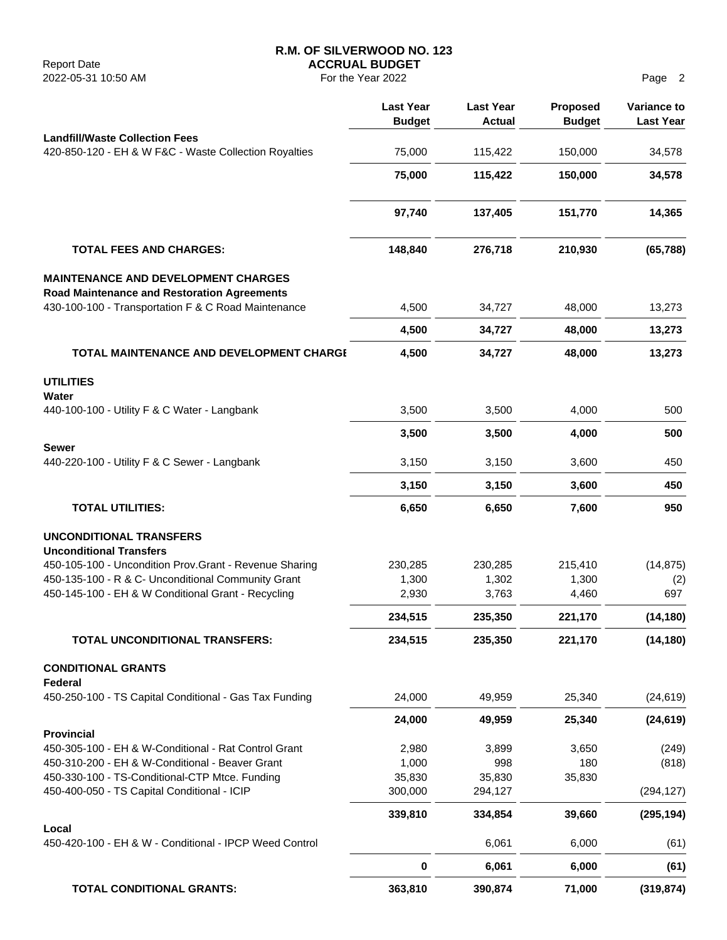|                                                                                                          | <b>Last Year</b><br><b>Budget</b> | <b>Last Year</b><br><b>Actual</b> | <b>Proposed</b><br><b>Budget</b> | Variance to<br><b>Last Year</b> |
|----------------------------------------------------------------------------------------------------------|-----------------------------------|-----------------------------------|----------------------------------|---------------------------------|
| <b>Landfill/Waste Collection Fees</b><br>420-850-120 - EH & W F&C - Waste Collection Royalties           | 75,000                            | 115,422                           | 150,000                          | 34,578                          |
|                                                                                                          | 75,000                            | 115,422                           | 150,000                          | 34,578                          |
|                                                                                                          | 97,740                            | 137,405                           | 151,770                          | 14,365                          |
| <b>TOTAL FEES AND CHARGES:</b>                                                                           | 148,840                           | 276,718                           | 210,930                          | (65, 788)                       |
| <b>MAINTENANCE AND DEVELOPMENT CHARGES</b><br><b>Road Maintenance and Restoration Agreements</b>         |                                   |                                   |                                  |                                 |
| 430-100-100 - Transportation F & C Road Maintenance                                                      | 4,500                             | 34,727                            | 48,000                           | 13,273                          |
|                                                                                                          | 4,500                             | 34,727                            | 48,000                           | 13,273                          |
| TOTAL MAINTENANCE AND DEVELOPMENT CHARGI                                                                 | 4,500                             | 34,727                            | 48,000                           | 13,273                          |
| <b>UTILITIES</b><br>Water                                                                                |                                   |                                   |                                  |                                 |
| 440-100-100 - Utility F & C Water - Langbank                                                             | 3,500                             | 3,500                             | 4,000                            | 500                             |
|                                                                                                          | 3,500                             | 3,500                             | 4,000                            | 500                             |
| <b>Sewer</b><br>440-220-100 - Utility F & C Sewer - Langbank                                             | 3,150                             | 3,150                             | 3,600                            | 450                             |
|                                                                                                          | 3,150                             | 3,150                             | 3,600                            | 450                             |
| <b>TOTAL UTILITIES:</b>                                                                                  | 6,650                             | 6,650                             | 7,600                            | 950                             |
| <b>UNCONDITIONAL TRANSFERS</b><br><b>Unconditional Transfers</b>                                         |                                   |                                   |                                  |                                 |
| 450-105-100 - Uncondition Prov.Grant - Revenue Sharing                                                   | 230,285                           | 230,285                           | 215,410                          | (14, 875)                       |
| 450-135-100 - R & C- Unconditional Community Grant<br>450-145-100 - EH & W Conditional Grant - Recycling | 1,300<br>2,930                    | 1,302<br>3,763                    | 1,300                            | (2)<br>697                      |
|                                                                                                          |                                   |                                   | 4,460                            |                                 |
|                                                                                                          | 234,515                           | 235,350                           | 221,170                          | (14, 180)                       |
| TOTAL UNCONDITIONAL TRANSFERS:                                                                           | 234,515                           | 235,350                           | 221,170                          | (14, 180)                       |
| <b>CONDITIONAL GRANTS</b><br>Federal                                                                     |                                   |                                   |                                  |                                 |
| 450-250-100 - TS Capital Conditional - Gas Tax Funding                                                   | 24,000                            | 49,959                            | 25,340                           | (24, 619)                       |
|                                                                                                          | 24,000                            | 49,959                            | 25,340                           | (24, 619)                       |
| <b>Provincial</b>                                                                                        |                                   |                                   |                                  |                                 |
| 450-305-100 - EH & W-Conditional - Rat Control Grant<br>450-310-200 - EH & W-Conditional - Beaver Grant  | 2,980<br>1,000                    | 3,899<br>998                      | 3,650<br>180                     | (249)<br>(818)                  |
| 450-330-100 - TS-Conditional-CTP Mtce. Funding                                                           | 35,830                            | 35,830                            | 35,830                           |                                 |
| 450-400-050 - TS Capital Conditional - ICIP                                                              | 300,000                           | 294,127                           |                                  | (294, 127)                      |
|                                                                                                          | 339,810                           | 334,854                           | 39,660                           | (295, 194)                      |
| Local<br>450-420-100 - EH & W - Conditional - IPCP Weed Control                                          |                                   | 6,061                             | 6,000                            | (61)                            |
|                                                                                                          | $\bf{0}$                          | 6,061                             | 6,000                            | (61)                            |
| TOTAL CONDITIONAL GRANTS:                                                                                | 363,810                           | 390,874                           | 71,000                           | (319, 874)                      |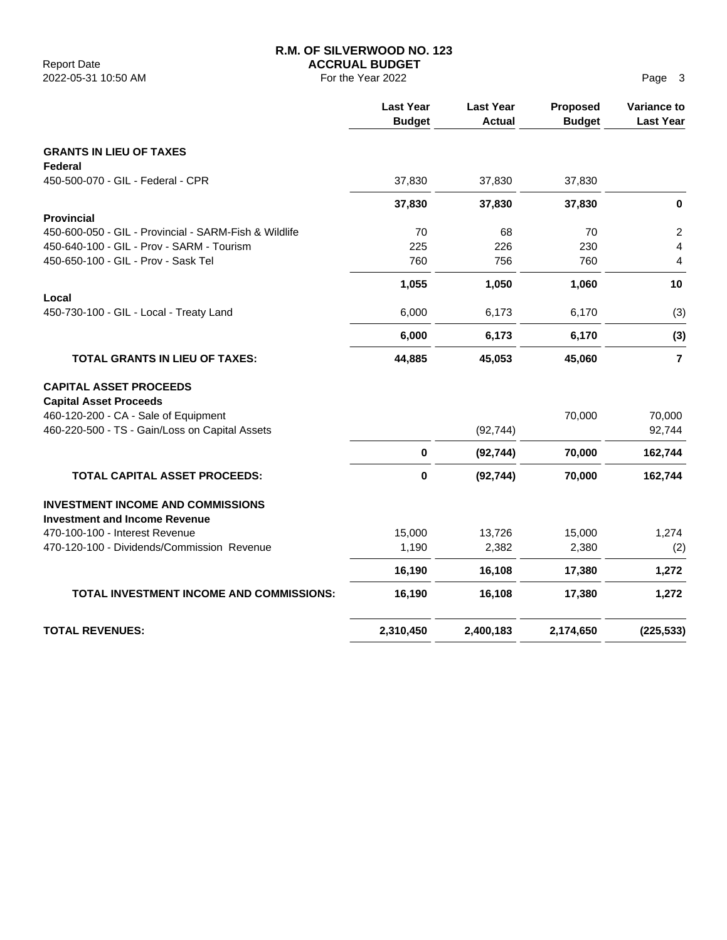|                                                       | <b>Last Year</b><br><b>Budget</b> | <b>Last Year</b><br><b>Actual</b> | Proposed<br><b>Budget</b> | Variance to<br><b>Last Year</b> |
|-------------------------------------------------------|-----------------------------------|-----------------------------------|---------------------------|---------------------------------|
| <b>GRANTS IN LIEU OF TAXES</b>                        |                                   |                                   |                           |                                 |
| Federal                                               |                                   |                                   |                           |                                 |
| 450-500-070 - GIL - Federal - CPR                     | 37,830                            | 37,830                            | 37,830                    |                                 |
|                                                       | 37,830                            | 37,830                            | 37,830                    | $\mathbf 0$                     |
| <b>Provincial</b>                                     |                                   |                                   |                           |                                 |
| 450-600-050 - GIL - Provincial - SARM-Fish & Wildlife | 70                                | 68                                | 70                        | $\overline{2}$                  |
| 450-640-100 - GIL - Prov - SARM - Tourism             | 225                               | 226                               | 230                       | $\overline{4}$                  |
| 450-650-100 - GIL - Prov - Sask Tel                   | 760                               | 756                               | 760                       | $\overline{4}$                  |
|                                                       | 1,055                             | 1,050                             | 1,060                     | 10                              |
| Local<br>450-730-100 - GIL - Local - Treaty Land      | 6,000                             | 6,173                             | 6,170                     | (3)                             |
|                                                       | 6,000                             | 6,173                             | 6,170                     | (3)                             |
| <b>TOTAL GRANTS IN LIEU OF TAXES:</b>                 | 44,885                            | 45,053                            | 45,060                    | $\overline{7}$                  |
| <b>CAPITAL ASSET PROCEEDS</b>                         |                                   |                                   |                           |                                 |
| <b>Capital Asset Proceeds</b>                         |                                   |                                   |                           |                                 |
| 460-120-200 - CA - Sale of Equipment                  |                                   |                                   | 70,000                    | 70,000                          |
| 460-220-500 - TS - Gain/Loss on Capital Assets        |                                   | (92, 744)                         |                           | 92,744                          |
|                                                       | $\pmb{0}$                         | (92, 744)                         | 70,000                    | 162,744                         |
| TOTAL CAPITAL ASSET PROCEEDS:                         | $\mathbf 0$                       | (92, 744)                         | 70,000                    | 162,744                         |
| <b>INVESTMENT INCOME AND COMMISSIONS</b>              |                                   |                                   |                           |                                 |
| <b>Investment and Income Revenue</b>                  |                                   |                                   |                           |                                 |
| 470-100-100 - Interest Revenue                        | 15,000                            | 13,726                            | 15,000                    | 1,274                           |
| 470-120-100 - Dividends/Commission Revenue            | 1,190                             | 2,382                             | 2,380                     | (2)                             |
|                                                       | 16,190                            | 16,108                            | 17,380                    | 1,272                           |
| TOTAL INVESTMENT INCOME AND COMMISSIONS:              | 16,190                            | 16,108                            | 17,380                    | 1,272                           |
| <b>TOTAL REVENUES:</b>                                | 2,310,450                         | 2,400,183                         | 2,174,650                 | (225, 533)                      |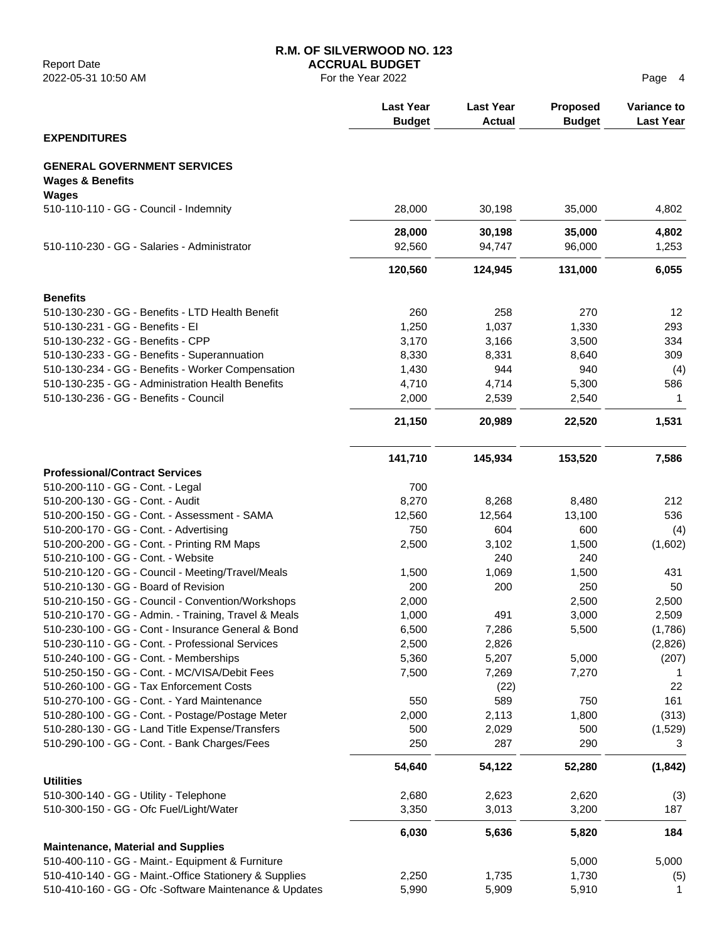|                                                                                   | <b>Last Year</b><br><b>Budget</b> | <b>Last Year</b><br><b>Actual</b> | Proposed<br><b>Budget</b> | Variance to<br><b>Last Year</b> |
|-----------------------------------------------------------------------------------|-----------------------------------|-----------------------------------|---------------------------|---------------------------------|
| <b>EXPENDITURES</b>                                                               |                                   |                                   |                           |                                 |
| <b>GENERAL GOVERNMENT SERVICES</b><br><b>Wages &amp; Benefits</b><br><b>Wages</b> |                                   |                                   |                           |                                 |
| 510-110-110 - GG - Council - Indemnity                                            | 28,000                            | 30,198                            | 35,000                    | 4,802                           |
|                                                                                   | 28,000                            | 30,198                            | 35,000                    | 4,802                           |
| 510-110-230 - GG - Salaries - Administrator                                       | 92,560                            | 94,747                            | 96,000                    | 1,253                           |
|                                                                                   | 120,560                           | 124,945                           | 131,000                   | 6,055                           |
| <b>Benefits</b>                                                                   |                                   |                                   |                           |                                 |
| 510-130-230 - GG - Benefits - LTD Health Benefit                                  | 260                               | 258                               | 270                       | 12                              |
| 510-130-231 - GG - Benefits - El                                                  | 1,250                             | 1,037                             | 1,330                     | 293                             |
| 510-130-232 - GG - Benefits - CPP                                                 | 3,170                             | 3,166                             | 3,500                     | 334                             |
| 510-130-233 - GG - Benefits - Superannuation                                      | 8,330                             | 8,331                             | 8,640                     | 309                             |
| 510-130-234 - GG - Benefits - Worker Compensation                                 | 1,430                             | 944                               | 940                       | (4)                             |
| 510-130-235 - GG - Administration Health Benefits                                 | 4,710                             | 4,714                             | 5,300                     | 586                             |
| 510-130-236 - GG - Benefits - Council                                             | 2,000                             | 2,539                             | 2,540                     | 1                               |
|                                                                                   | 21,150                            | 20,989                            | 22,520                    | 1,531                           |
|                                                                                   | 141,710                           | 145,934                           | 153,520                   | 7,586                           |
| <b>Professional/Contract Services</b>                                             |                                   |                                   |                           |                                 |
| 510-200-110 - GG - Cont. - Legal                                                  | 700                               |                                   |                           |                                 |
| 510-200-130 - GG - Cont. - Audit                                                  | 8,270                             | 8,268                             | 8,480                     | 212                             |
| 510-200-150 - GG - Cont. - Assessment - SAMA                                      | 12,560                            | 12,564                            | 13,100                    | 536                             |
| 510-200-170 - GG - Cont. - Advertising                                            | 750                               | 604                               | 600                       | (4)                             |
| 510-200-200 - GG - Cont. - Printing RM Maps                                       | 2,500                             | 3,102                             | 1,500                     | (1,602)                         |
| 510-210-100 - GG - Cont. - Website                                                |                                   | 240                               | 240                       |                                 |
| 510-210-120 - GG - Council - Meeting/Travel/Meals                                 | 1,500                             | 1,069                             | 1,500                     | 431                             |
| 510-210-130 - GG - Board of Revision                                              | 200                               | 200                               | 250                       | 50                              |
| 510-210-150 - GG - Council - Convention/Workshops                                 | 2,000                             |                                   | 2,500                     | 2,500                           |
| 510-210-170 - GG - Admin. - Training, Travel & Meals                              | 1,000                             | 491                               | 3,000                     | 2,509                           |
| 510-230-100 - GG - Cont - Insurance General & Bond                                | 6,500                             | 7,286                             | 5,500                     | (1,786)                         |
| 510-230-110 - GG - Cont. - Professional Services                                  | 2,500                             | 2,826                             |                           | (2,826)                         |
| 510-240-100 - GG - Cont. - Memberships                                            | 5,360                             | 5,207                             | 5,000                     | (207)                           |
| 510-250-150 - GG - Cont. - MC/VISA/Debit Fees                                     | 7,500                             | 7,269                             | 7,270                     | 1                               |
| 510-260-100 - GG - Tax Enforcement Costs                                          |                                   | (22)                              |                           | 22                              |
| 510-270-100 - GG - Cont. - Yard Maintenance                                       | 550                               | 589                               | 750                       | 161                             |
| 510-280-100 - GG - Cont. - Postage/Postage Meter                                  | 2,000                             | 2,113                             | 1,800                     | (313)                           |
| 510-280-130 - GG - Land Title Expense/Transfers                                   | 500                               | 2,029                             | 500                       | (1,529)                         |
| 510-290-100 - GG - Cont. - Bank Charges/Fees                                      | 250                               | 287                               | 290                       | 3                               |
| <b>Utilities</b>                                                                  | 54,640                            | 54,122                            | 52,280                    | (1, 842)                        |
| 510-300-140 - GG - Utility - Telephone                                            | 2,680                             | 2,623                             | 2,620                     | (3)                             |
| 510-300-150 - GG - Ofc Fuel/Light/Water                                           | 3,350                             | 3,013                             | 3,200                     | 187                             |
|                                                                                   | 6,030                             | 5,636                             | 5,820                     | 184                             |
| <b>Maintenance, Material and Supplies</b>                                         |                                   |                                   |                           |                                 |
| 510-400-110 - GG - Maint.- Equipment & Furniture                                  |                                   |                                   | 5,000                     | 5,000                           |
| 510-410-140 - GG - Maint.-Office Stationery & Supplies                            | 2,250                             | 1,735                             | 1,730                     | (5)                             |
| 510-410-160 - GG - Ofc - Software Maintenance & Updates                           | 5,990                             | 5,909                             | 5,910                     | 1                               |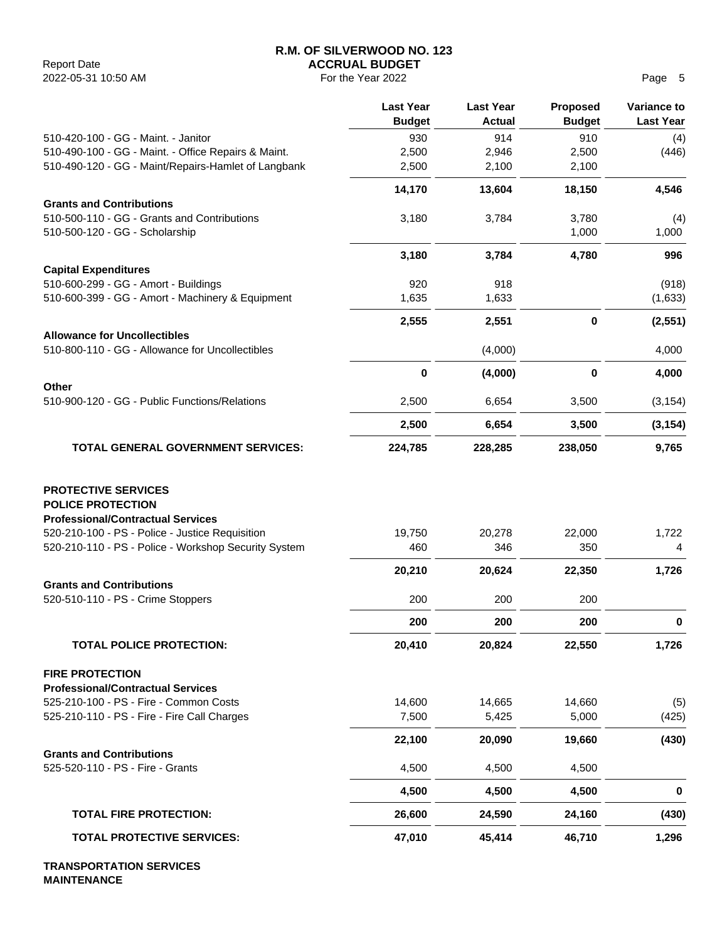Report Date **ACCRUAL BUDGET** 2022-05-31 10:50 AM **Page 5** 

|                                                                                                                                                                                                               | <b>Last Year</b><br><b>Budget</b> | <b>Last Year</b><br>Actual | <b>Proposed</b><br><b>Budget</b> | Variance to<br><b>Last Year</b> |
|---------------------------------------------------------------------------------------------------------------------------------------------------------------------------------------------------------------|-----------------------------------|----------------------------|----------------------------------|---------------------------------|
| 510-420-100 - GG - Maint. - Janitor                                                                                                                                                                           | 930                               | 914                        | 910                              | (4)                             |
| 510-490-100 - GG - Maint. - Office Repairs & Maint.                                                                                                                                                           | 2,500                             | 2,946                      | 2,500                            | (446)                           |
| 510-490-120 - GG - Maint/Repairs-Hamlet of Langbank                                                                                                                                                           | 2,500                             | 2,100                      | 2,100                            |                                 |
|                                                                                                                                                                                                               | 14,170                            | 13,604                     | 18,150                           | 4,546                           |
| <b>Grants and Contributions</b><br>510-500-110 - GG - Grants and Contributions                                                                                                                                | 3,180                             |                            |                                  |                                 |
| 510-500-120 - GG - Scholarship                                                                                                                                                                                |                                   | 3,784                      | 3,780<br>1,000                   | (4)<br>1,000                    |
|                                                                                                                                                                                                               | 3,180                             | 3,784                      | 4,780                            | 996                             |
| <b>Capital Expenditures</b>                                                                                                                                                                                   |                                   |                            |                                  |                                 |
| 510-600-299 - GG - Amort - Buildings                                                                                                                                                                          | 920                               | 918                        |                                  | (918)                           |
| 510-600-399 - GG - Amort - Machinery & Equipment                                                                                                                                                              | 1,635                             | 1,633                      |                                  | (1,633)                         |
| <b>Allowance for Uncollectibles</b>                                                                                                                                                                           | 2,555                             | 2,551                      | 0                                | (2, 551)                        |
| 510-800-110 - GG - Allowance for Uncollectibles                                                                                                                                                               |                                   | (4,000)                    |                                  | 4,000                           |
| Other                                                                                                                                                                                                         | $\bf{0}$                          | (4,000)                    | $\pmb{0}$                        | 4,000                           |
| 510-900-120 - GG - Public Functions/Relations                                                                                                                                                                 | 2,500                             | 6,654                      | 3,500                            | (3, 154)                        |
|                                                                                                                                                                                                               | 2,500                             | 6,654                      | 3,500                            | (3, 154)                        |
| <b>TOTAL GENERAL GOVERNMENT SERVICES:</b>                                                                                                                                                                     | 224,785                           | 228,285                    | 238,050                          | 9,765                           |
| <b>PROTECTIVE SERVICES</b><br><b>POLICE PROTECTION</b><br><b>Professional/Contractual Services</b><br>520-210-100 - PS - Police - Justice Requisition<br>520-210-110 - PS - Police - Workshop Security System | 19,750<br>460                     | 20,278<br>346              | 22,000<br>350                    | 1,722<br>4                      |
|                                                                                                                                                                                                               | 20,210                            | 20,624                     | 22,350                           | 1,726                           |
| <b>Grants and Contributions</b>                                                                                                                                                                               |                                   |                            |                                  |                                 |
| 520-510-110 - PS - Crime Stoppers                                                                                                                                                                             | 200                               | 200                        | 200                              |                                 |
|                                                                                                                                                                                                               | 200                               | 200                        | 200                              | $\bf{0}$                        |
| <b>TOTAL POLICE PROTECTION:</b>                                                                                                                                                                               | 20,410                            | 20,824                     | 22,550                           | 1,726                           |
| <b>FIRE PROTECTION</b>                                                                                                                                                                                        |                                   |                            |                                  |                                 |
| <b>Professional/Contractual Services</b>                                                                                                                                                                      |                                   |                            |                                  |                                 |
| 525-210-100 - PS - Fire - Common Costs<br>525-210-110 - PS - Fire - Fire Call Charges                                                                                                                         | 14,600<br>7,500                   | 14,665<br>5,425            | 14,660<br>5,000                  | (5)<br>(425)                    |
|                                                                                                                                                                                                               |                                   |                            |                                  |                                 |
| <b>Grants and Contributions</b>                                                                                                                                                                               | 22,100                            | 20,090                     | 19,660                           | (430)                           |
| 525-520-110 - PS - Fire - Grants                                                                                                                                                                              | 4,500                             | 4,500                      | 4,500                            |                                 |
|                                                                                                                                                                                                               | 4,500                             | 4,500                      | 4,500                            | 0                               |
| <b>TOTAL FIRE PROTECTION:</b>                                                                                                                                                                                 | 26,600                            | 24,590                     | 24,160                           | (430)                           |
| <b>TOTAL PROTECTIVE SERVICES:</b>                                                                                                                                                                             | 47,010                            | 45,414                     | 46,710                           | 1,296                           |
|                                                                                                                                                                                                               |                                   |                            |                                  |                                 |

**TRANSPORTATION SERVICES MAINTENANCE**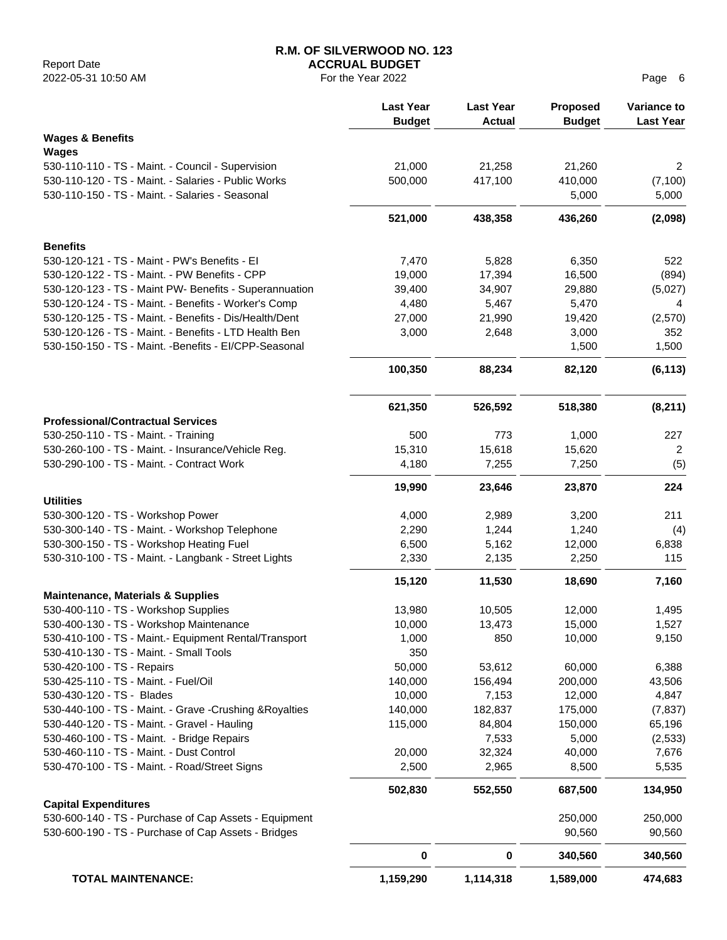|                                                                                                                 | <b>Last Year</b><br><b>Budget</b> | <b>Last Year</b><br><b>Actual</b> | Proposed<br><b>Budget</b> | <b>Variance to</b><br><b>Last Year</b> |
|-----------------------------------------------------------------------------------------------------------------|-----------------------------------|-----------------------------------|---------------------------|----------------------------------------|
| <b>Wages &amp; Benefits</b><br>Wages                                                                            |                                   |                                   |                           |                                        |
| 530-110-110 - TS - Maint. - Council - Supervision                                                               | 21,000                            | 21,258                            | 21,260                    | 2                                      |
| 530-110-120 - TS - Maint. - Salaries - Public Works                                                             | 500,000                           | 417,100                           | 410,000                   | (7, 100)                               |
| 530-110-150 - TS - Maint. - Salaries - Seasonal                                                                 |                                   |                                   | 5,000                     | 5,000                                  |
|                                                                                                                 | 521,000                           | 438,358                           | 436,260                   | (2,098)                                |
| <b>Benefits</b>                                                                                                 |                                   |                                   |                           |                                        |
| 530-120-121 - TS - Maint - PW's Benefits - EI                                                                   | 7,470                             | 5,828                             | 6,350                     | 522                                    |
| 530-120-122 - TS - Maint. - PW Benefits - CPP                                                                   | 19,000                            | 17,394                            | 16,500                    | (894)                                  |
| 530-120-123 - TS - Maint PW- Benefits - Superannuation                                                          | 39,400                            | 34,907                            | 29,880                    | (5,027)                                |
| 530-120-124 - TS - Maint. - Benefits - Worker's Comp                                                            | 4,480                             | 5,467                             | 5,470                     | 4                                      |
| 530-120-125 - TS - Maint. - Benefits - Dis/Health/Dent                                                          | 27,000                            | 21,990                            | 19,420                    | (2,570)                                |
| 530-120-126 - TS - Maint. - Benefits - LTD Health Ben<br>530-150-150 - TS - Maint. - Benefits - El/CPP-Seasonal | 3,000                             | 2,648                             | 3,000<br>1,500            | 352<br>1,500                           |
|                                                                                                                 | 100,350                           | 88,234                            | 82,120                    | (6, 113)                               |
|                                                                                                                 |                                   |                                   |                           |                                        |
| <b>Professional/Contractual Services</b>                                                                        | 621,350                           | 526,592                           | 518,380                   | (8, 211)                               |
| 530-250-110 - TS - Maint. - Training                                                                            | 500                               | 773                               | 1,000                     | 227                                    |
| 530-260-100 - TS - Maint. - Insurance/Vehicle Reg.                                                              | 15,310                            | 15,618                            | 15,620                    | 2                                      |
| 530-290-100 - TS - Maint. - Contract Work                                                                       | 4,180                             | 7,255                             | 7,250                     | (5)                                    |
|                                                                                                                 | 19,990                            | 23,646                            | 23,870                    | 224                                    |
| <b>Utilities</b>                                                                                                |                                   |                                   |                           |                                        |
| 530-300-120 - TS - Workshop Power                                                                               | 4,000                             | 2,989                             | 3,200                     | 211                                    |
| 530-300-140 - TS - Maint. - Workshop Telephone                                                                  | 2,290                             | 1,244                             | 1,240                     | (4)                                    |
| 530-300-150 - TS - Workshop Heating Fuel                                                                        | 6,500                             | 5,162                             | 12,000                    | 6,838                                  |
| 530-310-100 - TS - Maint. - Langbank - Street Lights                                                            | 2,330                             | 2,135                             | 2,250                     | 115                                    |
|                                                                                                                 | 15,120                            | 11,530                            | 18,690                    | 7,160                                  |
| <b>Maintenance, Materials &amp; Supplies</b>                                                                    |                                   |                                   |                           |                                        |
| 530-400-110 - TS - Workshop Supplies                                                                            | 13,980                            | 10,505                            | 12,000                    | 1,495                                  |
| 530-400-130 - TS - Workshop Maintenance                                                                         | 10,000                            | 13,473<br>850                     | 15,000                    | 1,527                                  |
| 530-410-100 - TS - Maint.- Equipment Rental/Transport<br>530-410-130 - TS - Maint. - Small Tools                | 1,000<br>350                      |                                   | 10,000                    | 9,150                                  |
| 530-420-100 - TS - Repairs                                                                                      | 50,000                            | 53,612                            | 60,000                    | 6,388                                  |
| 530-425-110 - TS - Maint. - Fuel/Oil                                                                            | 140,000                           | 156,494                           | 200,000                   | 43,506                                 |
| 530-430-120 - TS - Blades                                                                                       | 10,000                            | 7,153                             | 12,000                    | 4,847                                  |
| 530-440-100 - TS - Maint. - Grave -Crushing & Royalties                                                         | 140,000                           | 182,837                           | 175,000                   | (7, 837)                               |
| 530-440-120 - TS - Maint. - Gravel - Hauling                                                                    | 115,000                           | 84,804                            | 150,000                   | 65,196                                 |
| 530-460-100 - TS - Maint. - Bridge Repairs                                                                      |                                   | 7,533                             | 5,000                     | (2,533)                                |
| 530-460-110 - TS - Maint. - Dust Control                                                                        | 20,000                            | 32,324                            | 40,000                    | 7,676                                  |
| 530-470-100 - TS - Maint. - Road/Street Signs                                                                   | 2,500                             | 2,965                             | 8,500                     | 5,535                                  |
|                                                                                                                 | 502,830                           | 552,550                           | 687,500                   | 134,950                                |
| <b>Capital Expenditures</b><br>530-600-140 - TS - Purchase of Cap Assets - Equipment                            |                                   |                                   | 250,000                   | 250,000                                |
| 530-600-190 - TS - Purchase of Cap Assets - Bridges                                                             |                                   |                                   | 90,560                    | 90,560                                 |
|                                                                                                                 | $\pmb{0}$                         | 0                                 | 340,560                   | 340,560                                |
| <b>TOTAL MAINTENANCE:</b>                                                                                       | 1,159,290                         | 1,114,318                         | 1,589,000                 | 474,683                                |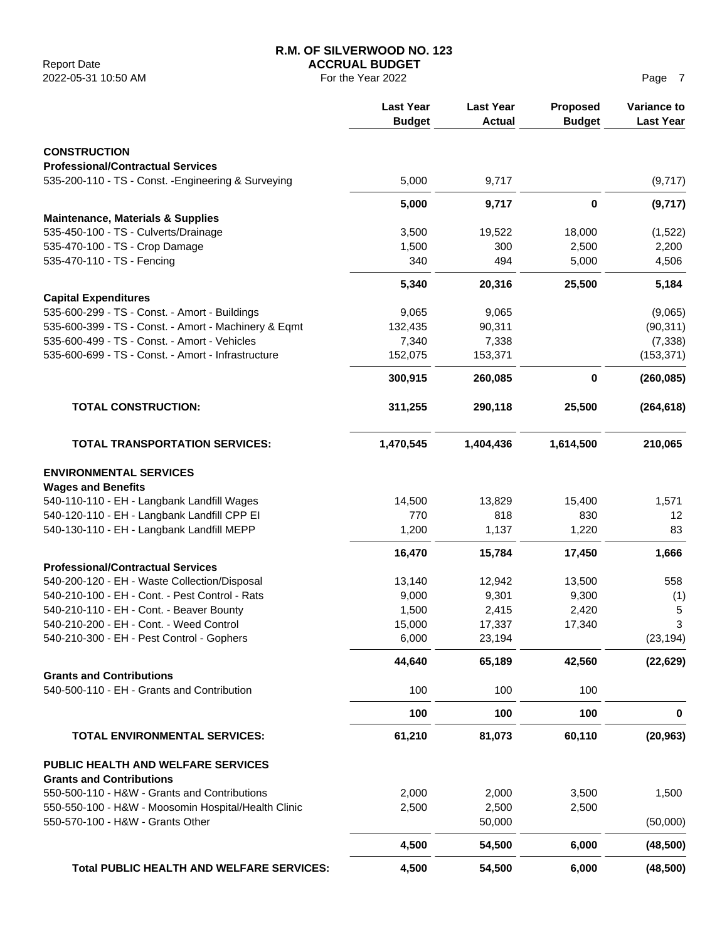|                                                                       | <b>Last Year</b><br><b>Budget</b> | <b>Last Year</b><br><b>Actual</b> | Proposed<br><b>Budget</b> | <b>Variance to</b><br><b>Last Year</b> |
|-----------------------------------------------------------------------|-----------------------------------|-----------------------------------|---------------------------|----------------------------------------|
| <b>CONSTRUCTION</b>                                                   |                                   |                                   |                           |                                        |
| <b>Professional/Contractual Services</b>                              |                                   |                                   |                           |                                        |
| 535-200-110 - TS - Const. - Engineering & Surveying                   | 5,000                             | 9,717                             |                           | (9,717)                                |
|                                                                       | 5,000                             | 9,717                             | 0                         | (9,717)                                |
| <b>Maintenance, Materials &amp; Supplies</b>                          |                                   |                                   |                           |                                        |
| 535-450-100 - TS - Culverts/Drainage                                  | 3,500                             | 19,522                            | 18,000                    | (1,522)                                |
| 535-470-100 - TS - Crop Damage                                        | 1,500                             | 300                               | 2,500                     | 2,200                                  |
| 535-470-110 - TS - Fencing                                            | 340                               | 494                               | 5,000                     | 4,506                                  |
|                                                                       | 5,340                             | 20,316                            | 25,500                    | 5,184                                  |
| <b>Capital Expenditures</b>                                           |                                   |                                   |                           |                                        |
| 535-600-299 - TS - Const. - Amort - Buildings                         | 9,065                             | 9,065                             |                           | (9,065)                                |
| 535-600-399 - TS - Const. - Amort - Machinery & Eqmt                  | 132,435                           | 90,311                            |                           | (90, 311)                              |
| 535-600-499 - TS - Const. - Amort - Vehicles                          | 7,340                             | 7,338                             |                           | (7, 338)                               |
| 535-600-699 - TS - Const. - Amort - Infrastructure                    | 152,075                           | 153,371                           |                           | (153, 371)                             |
|                                                                       | 300,915                           | 260,085                           | 0                         | (260, 085)                             |
| <b>TOTAL CONSTRUCTION:</b>                                            | 311,255                           | 290,118                           | 25,500                    | (264, 618)                             |
| <b>TOTAL TRANSPORTATION SERVICES:</b>                                 | 1,470,545                         | 1,404,436                         | 1,614,500                 | 210,065                                |
|                                                                       |                                   |                                   |                           |                                        |
| <b>ENVIRONMENTAL SERVICES</b><br><b>Wages and Benefits</b>            |                                   |                                   |                           |                                        |
| 540-110-110 - EH - Langbank Landfill Wages                            | 14,500                            | 13,829                            | 15,400                    | 1,571                                  |
| 540-120-110 - EH - Langbank Landfill CPP EI                           | 770                               | 818                               | 830                       | 12                                     |
| 540-130-110 - EH - Langbank Landfill MEPP                             | 1,200                             | 1,137                             | 1,220                     | 83                                     |
|                                                                       | 16,470                            | 15,784                            | 17,450                    | 1,666                                  |
| <b>Professional/Contractual Services</b>                              |                                   |                                   |                           |                                        |
| 540-200-120 - EH - Waste Collection/Disposal                          | 13,140                            | 12,942                            | 13,500                    | 558                                    |
| 540-210-100 - EH - Cont. - Pest Control - Rats                        | 9,000                             | 9,301                             | 9,300                     | (1)                                    |
| 540-210-110 - EH - Cont. - Beaver Bounty                              | 1,500                             | 2,415                             | 2,420                     | 5                                      |
| 540-210-200 - EH - Cont. - Weed Control                               | 15,000                            | 17,337                            | 17,340                    | 3                                      |
| 540-210-300 - EH - Pest Control - Gophers                             | 6,000                             | 23,194                            |                           | (23, 194)                              |
|                                                                       | 44,640                            | 65,189                            | 42,560                    | (22, 629)                              |
| <b>Grants and Contributions</b>                                       |                                   |                                   |                           |                                        |
| 540-500-110 - EH - Grants and Contribution                            | 100                               | 100                               | 100                       |                                        |
|                                                                       | 100                               | 100                               | 100                       | 0                                      |
| <b>TOTAL ENVIRONMENTAL SERVICES:</b>                                  | 61,210                            | 81,073                            | 60,110                    | (20, 963)                              |
| PUBLIC HEALTH AND WELFARE SERVICES<br><b>Grants and Contributions</b> |                                   |                                   |                           |                                        |
| 550-500-110 - H&W - Grants and Contributions                          | 2,000                             | 2,000                             | 3,500                     | 1,500                                  |
| 550-550-100 - H&W - Moosomin Hospital/Health Clinic                   | 2,500                             | 2,500                             | 2,500                     |                                        |
| 550-570-100 - H&W - Grants Other                                      |                                   | 50,000                            |                           | (50,000)                               |
|                                                                       | 4,500                             | 54,500                            | 6,000                     | (48, 500)                              |
| <b>Total PUBLIC HEALTH AND WELFARE SERVICES:</b>                      | 4,500                             | 54,500                            | 6,000                     | (48, 500)                              |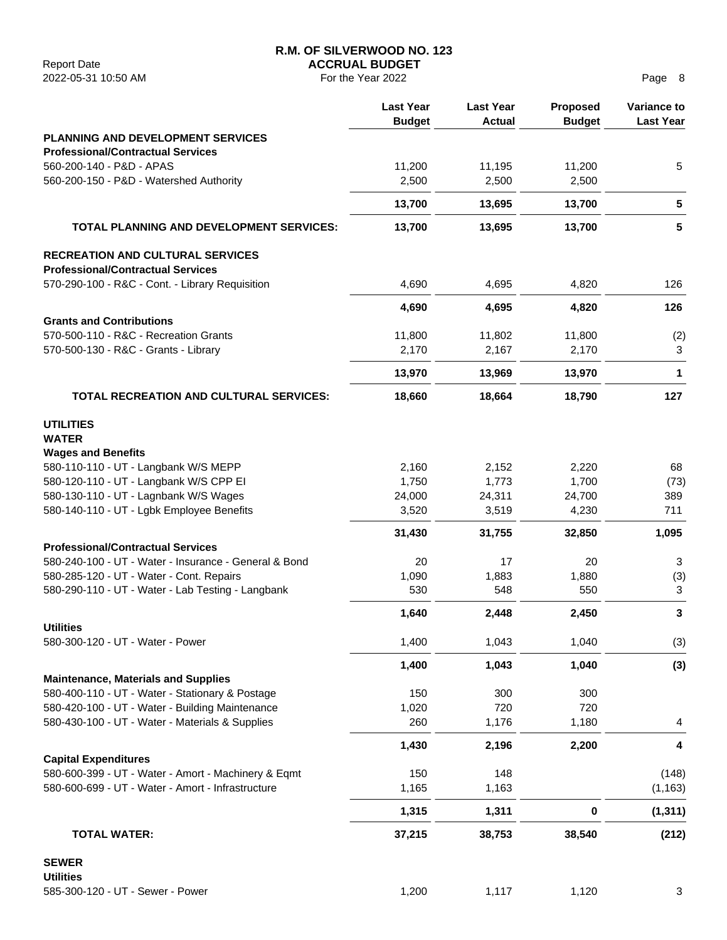Report Date<br>
2022-05-31 10:50 AM **ACCRUAL BUDGET**<br>
For the Year 2022 2022-05-31 10:50 AM For the Year 2022 Page 8

|                                                                                      | <b>Last Year</b><br><b>Budget</b> | <b>Last Year</b><br><b>Actual</b> | Proposed<br><b>Budget</b> | Variance to<br><b>Last Year</b> |
|--------------------------------------------------------------------------------------|-----------------------------------|-----------------------------------|---------------------------|---------------------------------|
| <b>PLANNING AND DEVELOPMENT SERVICES</b><br><b>Professional/Contractual Services</b> |                                   |                                   |                           |                                 |
| 560-200-140 - P&D - APAS                                                             | 11,200                            | 11,195                            | 11,200                    | 5                               |
| 560-200-150 - P&D - Watershed Authority                                              | 2,500                             | 2,500                             | 2,500                     |                                 |
|                                                                                      | 13,700                            | 13,695                            | 13,700                    | 5                               |
| <b>TOTAL PLANNING AND DEVELOPMENT SERVICES:</b>                                      | 13,700                            | 13,695                            | 13,700                    | 5                               |
| <b>RECREATION AND CULTURAL SERVICES</b><br><b>Professional/Contractual Services</b>  |                                   |                                   |                           |                                 |
| 570-290-100 - R&C - Cont. - Library Requisition                                      | 4,690                             | 4,695                             | 4,820                     | 126                             |
|                                                                                      | 4,690                             | 4,695                             | 4,820                     | 126                             |
| <b>Grants and Contributions</b>                                                      |                                   |                                   |                           |                                 |
| 570-500-110 - R&C - Recreation Grants                                                | 11,800                            | 11,802                            | 11,800                    | (2)                             |
| 570-500-130 - R&C - Grants - Library                                                 | 2,170                             | 2,167                             | 2,170                     | 3                               |
|                                                                                      | 13,970                            | 13,969                            | 13,970                    | 1                               |
| <b>TOTAL RECREATION AND CULTURAL SERVICES:</b>                                       | 18,660                            | 18,664                            | 18,790                    | 127                             |
| <b>UTILITIES</b>                                                                     |                                   |                                   |                           |                                 |
| <b>WATER</b>                                                                         |                                   |                                   |                           |                                 |
| <b>Wages and Benefits</b>                                                            |                                   |                                   |                           |                                 |
| 580-110-110 - UT - Langbank W/S MEPP                                                 | 2,160                             | 2,152                             | 2,220                     | 68                              |
| 580-120-110 - UT - Langbank W/S CPP EI                                               | 1,750                             | 1,773                             | 1,700                     | (73)                            |
| 580-130-110 - UT - Lagnbank W/S Wages                                                | 24,000                            | 24,311                            | 24,700                    | 389                             |
| 580-140-110 - UT - Lgbk Employee Benefits                                            | 3,520                             | 3,519                             | 4,230                     | 711                             |
|                                                                                      | 31,430                            | 31,755                            | 32,850                    | 1,095                           |
| <b>Professional/Contractual Services</b>                                             |                                   |                                   |                           |                                 |
| 580-240-100 - UT - Water - Insurance - General & Bond                                | 20                                | 17                                | 20                        | 3                               |
| 580-285-120 - UT - Water - Cont. Repairs                                             | 1,090                             | 1,883                             | 1,880                     | (3)                             |
| 580-290-110 - UT - Water - Lab Testing - Langbank                                    | 530                               | 548                               | 550                       | 3                               |
| <b>Utilities</b>                                                                     | 1,640                             | 2,448                             | 2,450                     | 3                               |
| 580-300-120 - UT - Water - Power                                                     | 1,400                             | 1,043                             | 1,040                     | (3)                             |
|                                                                                      | 1,400                             | 1,043                             | 1,040                     | (3)                             |
| <b>Maintenance, Materials and Supplies</b>                                           |                                   |                                   |                           |                                 |
| 580-400-110 - UT - Water - Stationary & Postage                                      | 150                               | 300                               | 300                       |                                 |
| 580-420-100 - UT - Water - Building Maintenance                                      | 1,020                             | 720                               | 720                       |                                 |
| 580-430-100 - UT - Water - Materials & Supplies                                      | 260                               | 1,176                             | 1,180                     | 4                               |
| <b>Capital Expenditures</b>                                                          | 1,430                             | 2,196                             | 2,200                     | 4                               |
| 580-600-399 - UT - Water - Amort - Machinery & Eqmt                                  | 150                               | 148                               |                           | (148)                           |
| 580-600-699 - UT - Water - Amort - Infrastructure                                    | 1,165                             | 1,163                             |                           | (1, 163)                        |
|                                                                                      | 1,315                             | 1,311                             | 0                         | (1, 311)                        |
| <b>TOTAL WATER:</b>                                                                  | 37,215                            | 38,753                            | 38,540                    | (212)                           |
| <b>SEWER</b><br>ممثلاثانا                                                            |                                   |                                   |                           |                                 |

**Utilities**

| ----------                       |      |      |      |  |
|----------------------------------|------|------|------|--|
| 585-300-120 - UT - Sewer - Power | .200 | 1117 | .120 |  |